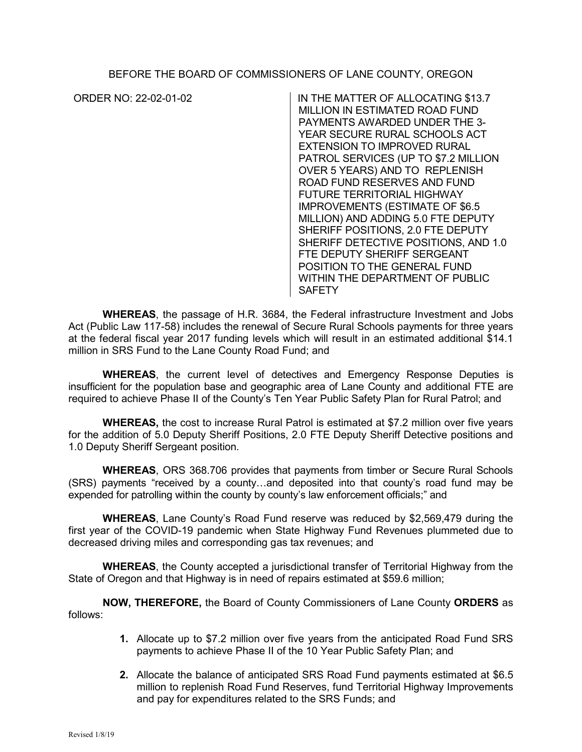BEFORE THE BOARD OF COMMISSIONERS OF LANE COUNTY, OREGON

ORDER NO: 22-02-01-02 IN THE MATTER OF ALLOCATING \$13.7 MILLION IN ESTIMATED ROAD FUND PAYMENTS AWARDED UNDER THE 3- YEAR SECURE RURAL SCHOOLS ACT EXTENSION TO IMPROVED RURAL PATROL SERVICES (UP TO \$7.2 MILLION OVER 5 YEARS) AND TO REPLENISH ROAD FUND RESERVES AND FUND FUTURE TERRITORIAL HIGHWAY IMPROVEMENTS (ESTIMATE OF \$6.5 MILLION) AND ADDING 5.0 FTE DEPUTY SHERIFF POSITIONS, 2.0 FTE DEPUTY SHERIFF DETECTIVE POSITIONS, AND 1.0 FTE DEPUTY SHERIFF SERGEANT POSITION TO THE GENERAL FUND WITHIN THE DEPARTMENT OF PUBLIC SAFETY

**WHEREAS**, the passage of H.R. 3684, the Federal infrastructure Investment and Jobs Act (Public Law 117-58) includes the renewal of Secure Rural Schools payments for three years at the federal fiscal year 2017 funding levels which will result in an estimated additional \$14.1 million in SRS Fund to the Lane County Road Fund; and

**WHEREAS**, the current level of detectives and Emergency Response Deputies is insufficient for the population base and geographic area of Lane County and additional FTE are required to achieve Phase II of the County's Ten Year Public Safety Plan for Rural Patrol; and

**WHEREAS,** the cost to increase Rural Patrol is estimated at \$7.2 million over five years for the addition of 5.0 Deputy Sheriff Positions, 2.0 FTE Deputy Sheriff Detective positions and 1.0 Deputy Sheriff Sergeant position.

**WHEREAS**, ORS 368.706 provides that payments from timber or Secure Rural Schools (SRS) payments "received by a county…and deposited into that county's road fund may be expended for patrolling within the county by county's law enforcement officials;" and

**WHEREAS**, Lane County's Road Fund reserve was reduced by \$2,569,479 during the first year of the COVID-19 pandemic when State Highway Fund Revenues plummeted due to decreased driving miles and corresponding gas tax revenues; and

**WHEREAS**, the County accepted a jurisdictional transfer of Territorial Highway from the State of Oregon and that Highway is in need of repairs estimated at \$59.6 million;

**NOW, THEREFORE,** the Board of County Commissioners of Lane County **ORDERS** as follows:

- **1.** Allocate up to \$7.2 million over five years from the anticipated Road Fund SRS payments to achieve Phase II of the 10 Year Public Safety Plan; and
- **2.** Allocate the balance of anticipated SRS Road Fund payments estimated at \$6.5 million to replenish Road Fund Reserves, fund Territorial Highway Improvements and pay for expenditures related to the SRS Funds; and